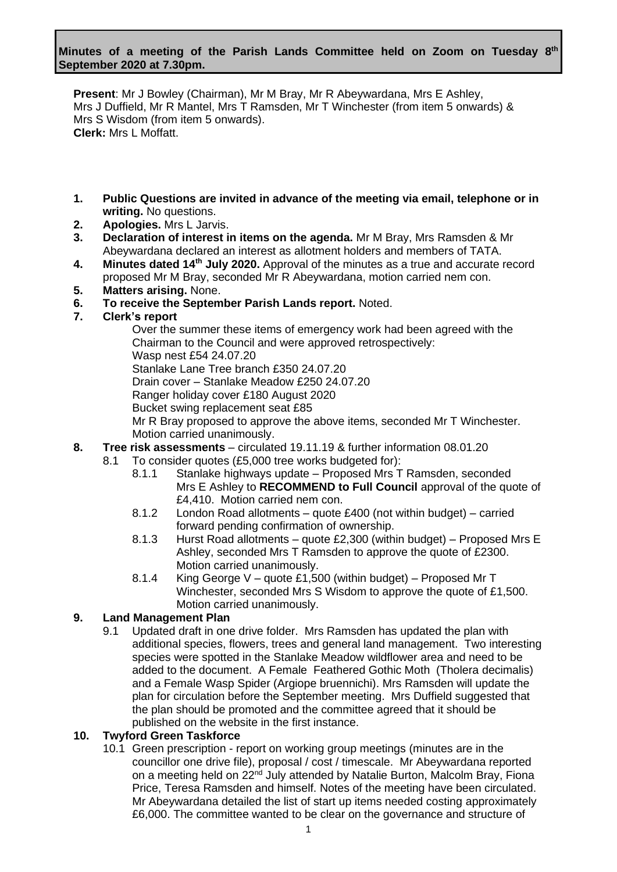**Present**: Mr J Bowley (Chairman), Mr M Bray, Mr R Abeywardana, Mrs E Ashley, Mrs J Duffield, Mr R Mantel, Mrs T Ramsden, Mr T Winchester (from item 5 onwards) & Mrs S Wisdom (from item 5 onwards). **Clerk:** Mrs L Moffatt.

- **1. Public Questions are invited in advance of the meeting via email, telephone or in writing.** No questions.
- **2. Apologies.** Mrs L Jarvis.
- **3. Declaration of interest in items on the agenda.** Mr M Bray, Mrs Ramsden & Mr Abeywardana declared an interest as allotment holders and members of TATA.
- **4. Minutes dated 14th July 2020.** Approval of the minutes as a true and accurate record proposed Mr M Bray, seconded Mr R Abeywardana, motion carried nem con.
- **5. Matters arising.** None.
- **6. To receive the September Parish Lands report.** Noted.
- **7. Clerk's report**

Over the summer these items of emergency work had been agreed with the Chairman to the Council and were approved retrospectively: Wasp nest £54 24.07.20 Stanlake Lane Tree branch £350 24.07.20 Drain cover – Stanlake Meadow £250 24.07.20 Ranger holiday cover £180 August 2020 Bucket swing replacement seat £85 Mr R Bray proposed to approve the above items, seconded Mr T Winchester. Motion carried unanimously.

- **8. Tree risk assessments**  circulated 19.11.19 & further information 08.01.20
	- 8.1 To consider quotes (£5,000 tree works budgeted for):
		- 8.1.1 Stanlake highways update Proposed Mrs T Ramsden, seconded Mrs E Ashley to **RECOMMEND to Full Council** approval of the quote of £4,410. Motion carried nem con.
		- 8.1.2 London Road allotments quote £400 (not within budget) carried forward pending confirmation of ownership.
		- 8.1.3 Hurst Road allotments quote £2,300 (within budget) Proposed Mrs E Ashley, seconded Mrs T Ramsden to approve the quote of £2300. Motion carried unanimously.
		- 8.1.4 King George V quote £1,500 (within budget) Proposed Mr T Winchester, seconded Mrs S Wisdom to approve the quote of £1,500. Motion carried unanimously.

# **9. Land Management Plan**

9.1 Updated draft in one drive folder. Mrs Ramsden has updated the plan with additional species, flowers, trees and general land management. Two interesting species were spotted in the Stanlake Meadow wildflower area and need to be added to the document. A Female Feathered Gothic Moth (Tholera decimalis) and a Female Wasp Spider (Argiope bruennichi). Mrs Ramsden will update the plan for circulation before the September meeting. Mrs Duffield suggested that the plan should be promoted and the committee agreed that it should be published on the website in the first instance.

#### **10. Twyford Green Taskforce**

10.1 Green prescription - report on working group meetings (minutes are in the councillor one drive file), proposal / cost / timescale. Mr Abeywardana reported on a meeting held on 22<sup>nd</sup> July attended by Natalie Burton, Malcolm Bray, Fiona Price, Teresa Ramsden and himself. Notes of the meeting have been circulated. Mr Abeywardana detailed the list of start up items needed costing approximately £6,000. The committee wanted to be clear on the governance and structure of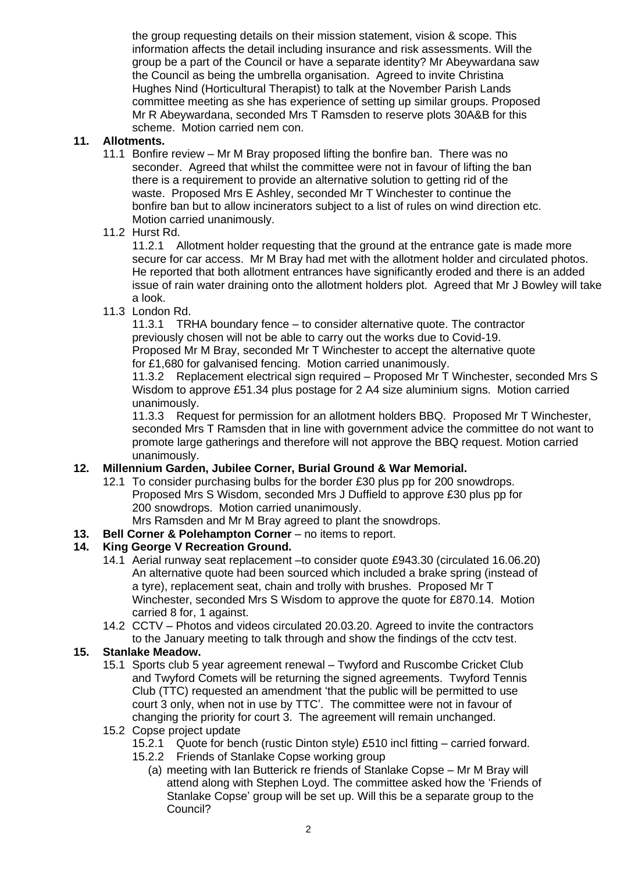the group requesting details on their mission statement, vision & scope. This information affects the detail including insurance and risk assessments. Will the group be a part of the Council or have a separate identity? Mr Abeywardana saw the Council as being the umbrella organisation. Agreed to invite Christina Hughes Nind (Horticultural Therapist) to talk at the November Parish Lands committee meeting as she has experience of setting up similar groups. Proposed Mr R Abeywardana, seconded Mrs T Ramsden to reserve plots 30A&B for this scheme. Motion carried nem con.

### **11. Allotments.**

- 11.1 Bonfire review Mr M Bray proposed lifting the bonfire ban. There was no seconder. Agreed that whilst the committee were not in favour of lifting the ban there is a requirement to provide an alternative solution to getting rid of the waste. Proposed Mrs E Ashley, seconded Mr T Winchester to continue the bonfire ban but to allow incinerators subject to a list of rules on wind direction etc. Motion carried unanimously.
- 11.2 Hurst Rd.

11.2.1 Allotment holder requesting that the ground at the entrance gate is made more secure for car access. Mr M Bray had met with the allotment holder and circulated photos. He reported that both allotment entrances have significantly eroded and there is an added issue of rain water draining onto the allotment holders plot. Agreed that Mr J Bowley will take a look.

11.3 London Rd.

11.3.1 TRHA boundary fence – to consider alternative quote. The contractor previously chosen will not be able to carry out the works due to Covid-19. Proposed Mr M Bray, seconded Mr T Winchester to accept the alternative quote for £1,680 for galvanised fencing. Motion carried unanimously.

11.3.2 Replacement electrical sign required – Proposed Mr T Winchester, seconded Mrs S Wisdom to approve £51.34 plus postage for 2 A4 size aluminium signs. Motion carried unanimously.

11.3.3 Request for permission for an allotment holders BBQ. Proposed Mr T Winchester, seconded Mrs T Ramsden that in line with government advice the committee do not want to promote large gatherings and therefore will not approve the BBQ request. Motion carried unanimously.

### **12. Millennium Garden, Jubilee Corner, Burial Ground & War Memorial.**

12.1 To consider purchasing bulbs for the border £30 plus pp for 200 snowdrops. Proposed Mrs S Wisdom, seconded Mrs J Duffield to approve £30 plus pp for 200 snowdrops. Motion carried unanimously.

Mrs Ramsden and Mr M Bray agreed to plant the snowdrops.

**13. Bell Corner & Polehampton Corner** – no items to report.

# **14. King George V Recreation Ground.**

- 14.1 Aerial runway seat replacement –to consider quote £943.30 (circulated 16.06.20) An alternative quote had been sourced which included a brake spring (instead of a tyre), replacement seat, chain and trolly with brushes. Proposed Mr T Winchester, seconded Mrs S Wisdom to approve the quote for £870.14. Motion carried 8 for, 1 against.
- 14.2 CCTV Photos and videos circulated 20.03.20. Agreed to invite the contractors to the January meeting to talk through and show the findings of the cctv test.

#### **15. Stanlake Meadow.**

- 15.1 Sports club 5 year agreement renewal Twyford and Ruscombe Cricket Club and Twyford Comets will be returning the signed agreements. Twyford Tennis Club (TTC) requested an amendment 'that the public will be permitted to use court 3 only, when not in use by TTC'. The committee were not in favour of changing the priority for court 3. The agreement will remain unchanged.
- 15.2 Copse project update
	- 15.2.1 Quote for bench (rustic Dinton style) £510 incl fitting carried forward.
	- 15.2.2 Friends of Stanlake Copse working group
		- (a) meeting with Ian Butterick re friends of Stanlake Copse Mr M Bray will attend along with Stephen Loyd. The committee asked how the 'Friends of Stanlake Copse' group will be set up. Will this be a separate group to the Council?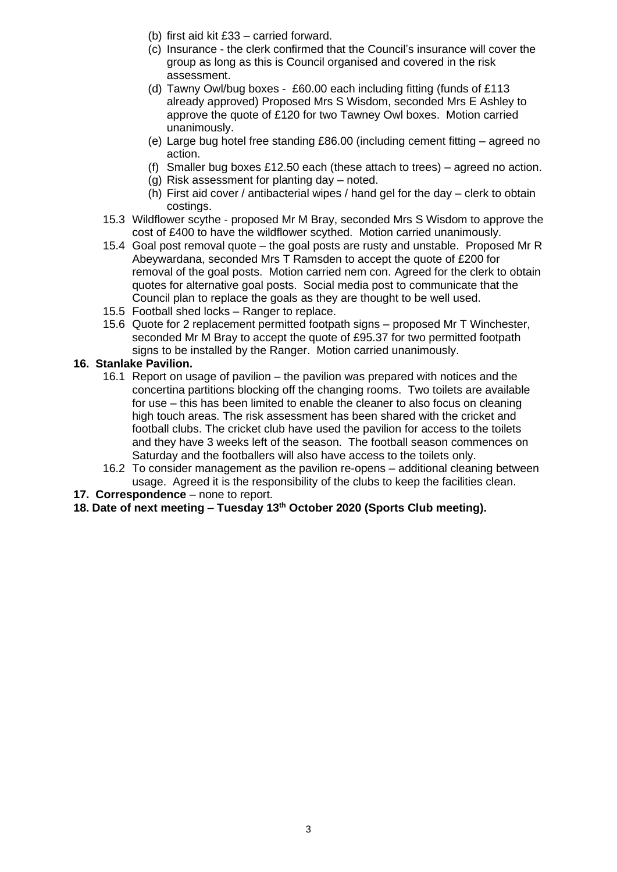- (b) first aid kit £33 carried forward.
- (c) Insurance the clerk confirmed that the Council's insurance will cover the group as long as this is Council organised and covered in the risk assessment.
- (d) Tawny Owl/bug boxes £60.00 each including fitting (funds of £113 already approved) Proposed Mrs S Wisdom, seconded Mrs E Ashley to approve the quote of £120 for two Tawney Owl boxes. Motion carried unanimously.
- (e) Large bug hotel free standing £86.00 (including cement fitting agreed no action.
- (f) Smaller bug boxes £12.50 each (these attach to trees) agreed no action.
- $\overrightarrow{a}$ ) Risk assessment for planting day noted.
- (h) First aid cover / antibacterial wipes / hand gel for the day clerk to obtain costings.
- 15.3 Wildflower scythe proposed Mr M Bray, seconded Mrs S Wisdom to approve the cost of £400 to have the wildflower scythed. Motion carried unanimously.
- 15.4 Goal post removal quote the goal posts are rusty and unstable. Proposed Mr R Abeywardana, seconded Mrs T Ramsden to accept the quote of £200 for removal of the goal posts. Motion carried nem con. Agreed for the clerk to obtain quotes for alternative goal posts. Social media post to communicate that the Council plan to replace the goals as they are thought to be well used.
- 15.5 Football shed locks Ranger to replace.
- 15.6 Quote for 2 replacement permitted footpath signs proposed Mr T Winchester, seconded Mr M Bray to accept the quote of £95.37 for two permitted footpath signs to be installed by the Ranger. Motion carried unanimously.
- **16. Stanlake Pavilion.**
	- 16.1 Report on usage of pavilion the pavilion was prepared with notices and the concertina partitions blocking off the changing rooms. Two toilets are available for use – this has been limited to enable the cleaner to also focus on cleaning high touch areas. The risk assessment has been shared with the cricket and football clubs. The cricket club have used the pavilion for access to the toilets and they have 3 weeks left of the season. The football season commences on Saturday and the footballers will also have access to the toilets only.
	- 16.2 To consider management as the pavilion re-opens additional cleaning between usage. Agreed it is the responsibility of the clubs to keep the facilities clean.
- **17. Correspondence**  none to report.
- **18. Date of next meeting – Tuesday 13th October 2020 (Sports Club meeting).**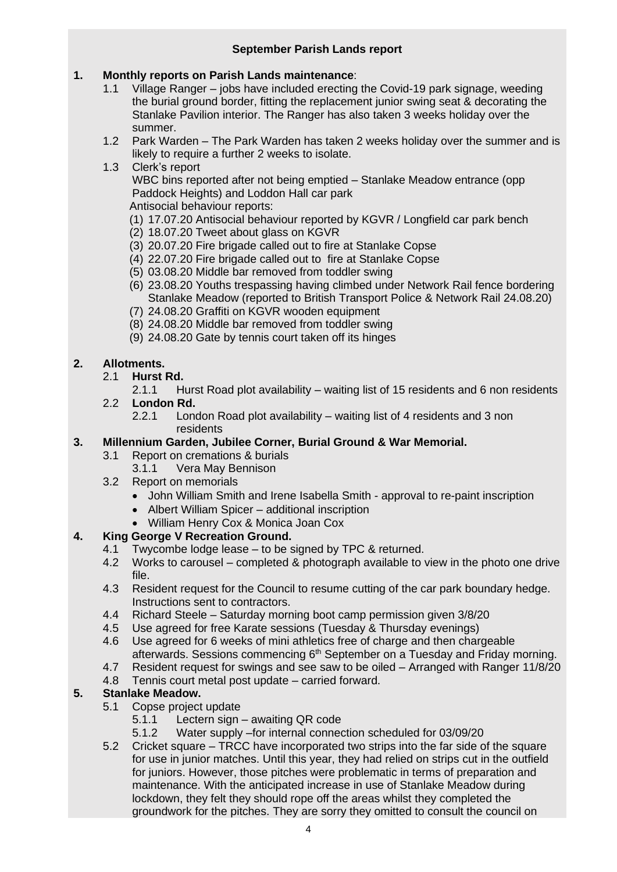# **1. Monthly reports on Parish Lands maintenance**:

- 1.1 Village Ranger jobs have included erecting the Covid-19 park signage, weeding the burial ground border, fitting the replacement junior swing seat & decorating the Stanlake Pavilion interior. The Ranger has also taken 3 weeks holiday over the summer.
- 1.2 Park Warden The Park Warden has taken 2 weeks holiday over the summer and is likely to require a further 2 weeks to isolate.
- 1.3 Clerk's report

WBC bins reported after not being emptied – Stanlake Meadow entrance (opp Paddock Heights) and Loddon Hall car park

Antisocial behaviour reports:

- (1) 17.07.20 Antisocial behaviour reported by KGVR / Longfield car park bench
- (2) 18.07.20 Tweet about glass on KGVR
- (3) 20.07.20 Fire brigade called out to fire at Stanlake Copse
- (4) 22.07.20 Fire brigade called out to fire at Stanlake Copse
- (5) 03.08.20 Middle bar removed from toddler swing
- (6) 23.08.20 Youths trespassing having climbed under Network Rail fence bordering Stanlake Meadow (reported to British Transport Police & Network Rail 24.08.20)
- (7) 24.08.20 Graffiti on KGVR wooden equipment
- (8) 24.08.20 Middle bar removed from toddler swing
- (9) 24.08.20 Gate by tennis court taken off its hinges

# **2. Allotments.**

- 2.1 **Hurst Rd.**
	- 2.1.1 Hurst Road plot availability waiting list of 15 residents and 6 non residents
- 2.2 **London Rd.**
	- 2.2.1 London Road plot availability waiting list of 4 residents and 3 non residents

# **3. Millennium Garden, Jubilee Corner, Burial Ground & War Memorial.**

- 3.1 Report on cremations & burials
	- 3.1.1 Vera May Bennison
- 3.2 Report on memorials
	- John William Smith and Irene Isabella Smith approval to re-paint inscription
	- Albert William Spicer additional inscription
	- William Henry Cox & Monica Joan Cox

# **4. King George V Recreation Ground.**

- 4.1 Twycombe lodge lease to be signed by TPC & returned.
- 4.2 Works to carousel completed & photograph available to view in the photo one drive file.
- 4.3 Resident request for the Council to resume cutting of the car park boundary hedge. Instructions sent to contractors.
- 4.4 Richard Steele Saturday morning boot camp permission given 3/8/20
- 4.5 Use agreed for free Karate sessions (Tuesday & Thursday evenings)
- 4.6 Use agreed for 6 weeks of mini athletics free of charge and then chargeable afterwards. Sessions commencing 6<sup>th</sup> September on a Tuesday and Friday morning.
- 4.7 Resident request for swings and see saw to be oiled Arranged with Ranger 11/8/20
- 4.8 Tennis court metal post update carried forward.

# **5. Stanlake Meadow.**

- 5.1 Copse project update<br>5.1.1 Lectern sign -
	- Lectern sign awaiting QR code
	- 5.1.2 Water supply –for internal connection scheduled for 03/09/20
- 5.2 Cricket square TRCC have incorporated two strips into the far side of the square for use in junior matches. Until this year, they had relied on strips cut in the outfield for juniors. However, those pitches were problematic in terms of preparation and maintenance. With the anticipated increase in use of Stanlake Meadow during lockdown, they felt they should rope off the areas whilst they completed the groundwork for the pitches. They are sorry they omitted to consult the council on